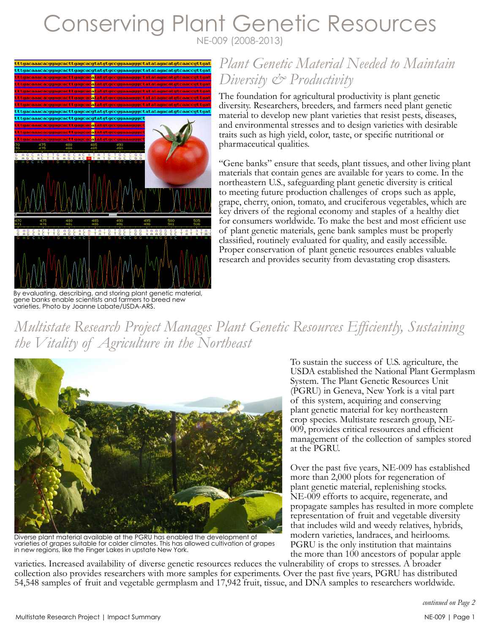# Conserving Plant Genetic Resources NE-009 (2008-2013)



By evaluating, describing, and storing plant genetic material, gene banks enable scientists and farmers to breed new varieties. Photo by Joanne Labate/USDA-ARS.

### *Plant Genetic Material Needed to Maintain Diversity & Productivity*

The foundation for agricultural productivity is plant genetic diversity. Researchers, breeders, and farmers need plant genetic material to develop new plant varieties that resist pests, diseases, and environmental stresses and to design varieties with desirable traits such as high yield, color, taste, or specific nutritional or pharmaceutical qualities.

"Gene banks" ensure that seeds, plant tissues, and other living plant materials that contain genes are available for years to come. In the northeastern U.S., safeguarding plant genetic diversity is critical to meeting future production challenges of crops such as apple, grape, cherry, onion, tomato, and cruciferous vegetables, which are key drivers of the regional economy and staples of a healthy diet for consumers worldwide. To make the best and most efficient use of plant genetic materials, gene bank samples must be properly classified, routinely evaluated for quality, and easily accessible. Proper conservation of plant genetic resources enables valuable research and provides security from devastating crop disasters.

*Multistate Research Project Manages Plant Genetic Resources Efficiently, Sustaining the Vitality of Agriculture in the Northeast* 



Diverse plant material available at the PGRU has enabled the development of varieties of grapes suitable for colder climates. This has allowed cultivation of grapes in new regions, like the Finger Lakes in upstate New York.

To sustain the success of U.S. agriculture, the USDA established the National Plant Germplasm System. The Plant Genetic Resources Unit (PGRU) in Geneva, New York is a vital part of this system, acquiring and conserving plant genetic material for key northeastern crop species. Multistate research group, NE-009, provides critical resources and efficient management of the collection of samples stored at the PGRU.

Over the past five years, NE-009 has established more than 2,000 plots for regeneration of plant genetic material, replenishing stocks. NE-009 efforts to acquire, regenerate, and propagate samples has resulted in more complete representation of fruit and vegetable diversity that includes wild and weedy relatives, hybrids, modern varieties, landraces, and heirlooms. PGRU is the only institution that maintains the more than 100 ancestors of popular apple

varieties. Increased availability of diverse genetic resources reduces the vulnerability of crops to stresses. A broader collection also provides researchers with more samples for experiments. Over the past five years, PGRU has distributed 54,548 samples of fruit and vegetable germplasm and 17,942 fruit, tissue, and DNA samples to researchers worldwide.